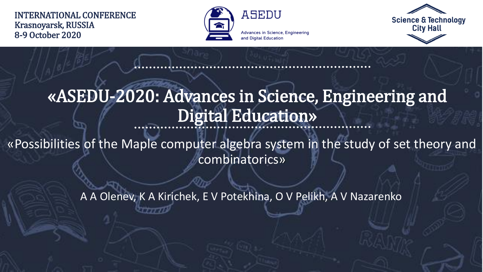#### INTERNATIONAL CONFERENCE Krasnoyarsk, RUSSIA 8-9 October 2020



**Advances in Science, Engineering** and Digital Education



#### «ASEDU-2020: Advances in Science, Engineering and Digital Education»

«Possibilities of the Maple computer algebra system in the study of set theory and combinatorics»

A A Olenev, K A Kirichek, E V Potekhina, O V Pelikh, A V Nazarenko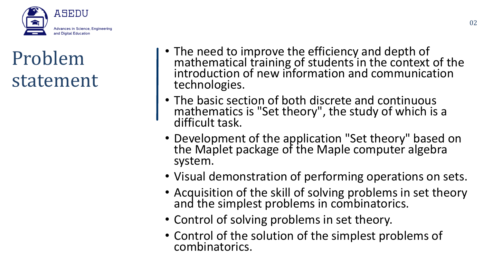

## Problem statement

- The need to improve the efficiency and depth of mathematical training of students in the context of the introduction of new information and communication technologies.
- The basic section of both discrete and continuous mathematics is "Set theory", the study of which is a difficult task.
- Development of the application "Set theory" based on the Maplet package of the Maple computer algebra system.
- Visual demonstration of performing operations on sets.
- Acquisition of the skill of solving problems in set theory and the simplest problems in combinatorics.
- Control of solving problems in set theory.
- Control of the solution of the simplest problems of combinatorics.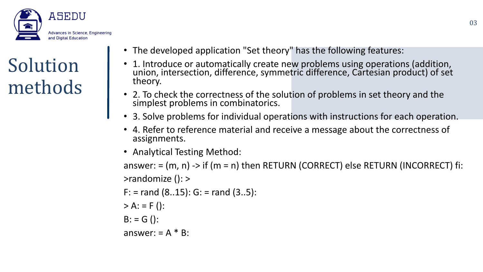

# Solution methods

- The developed application "Set theory" has the following features:
- 1. Introduce or automatically create new problems using operations (addition, union, intersection, difference, symmetric difference, Cartesian product) of set theory.
- 2. To check the correctness of the solution of problems in set theory and the simplest problems in combinatorics.
- 3. Solve problems for individual operations with instructions for each operation.
- 4. Refer to reference material and receive a message about the correctness of assignments.
- Analytical Testing Method:

answer:  $= (m, n)$  -> if ( $m = n$ ) then RETURN (CORRECT) else RETURN (INCORRECT) fi: >randomize (): >

 $F:$  = rand (8..15): G: = rand (3..5):

- $> A: = F($ :
- $B: = G()$ :

answer:  $= A * B$ :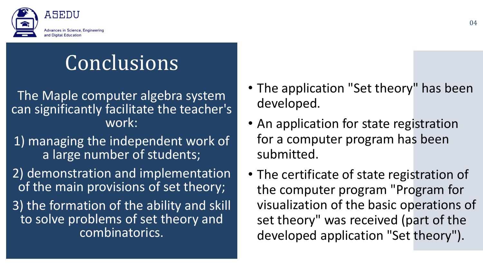

# Conclusions

The Maple computer algebra system can significantly facilitate the teacher's work:

1) managing the independent work of a large number of students;

2) demonstration and implementation of the main provisions of set theory; 3) the formation of the ability and skill to solve problems of set theory and combinatorics.

- The application "Set theory" has been developed.
- An application for state registration for a computer program has been submitted.
- The certificate of state registration of the computer program "Program for visualization of the basic operations of set theory" was received (part of the developed application "Set theory").